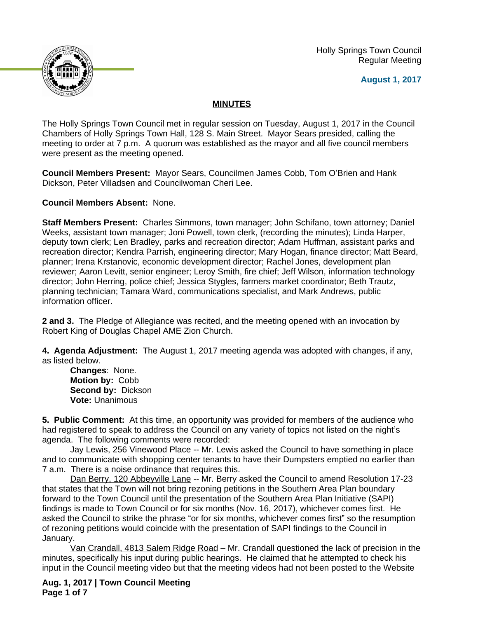Holly Springs Town Council Regular Meeting





## **MINUTES**

The Holly Springs Town Council met in regular session on Tuesday, August 1, 2017 in the Council Chambers of Holly Springs Town Hall, 128 S. Main Street. Mayor Sears presided, calling the meeting to order at 7 p.m. A quorum was established as the mayor and all five council members were present as the meeting opened.

**Council Members Present:** Mayor Sears, Councilmen James Cobb, Tom O'Brien and Hank Dickson, Peter Villadsen and Councilwoman Cheri Lee.

**Council Members Absent:** None.

**Staff Members Present:** Charles Simmons, town manager; John Schifano, town attorney; Daniel Weeks, assistant town manager; Joni Powell, town clerk, (recording the minutes); Linda Harper, deputy town clerk; Len Bradley, parks and recreation director; Adam Huffman, assistant parks and recreation director; Kendra Parrish, engineering director; Mary Hogan, finance director; Matt Beard, planner; Irena Krstanovic, economic development director; Rachel Jones, development plan reviewer; Aaron Levitt, senior engineer; Leroy Smith, fire chief; Jeff Wilson, information technology director; John Herring, police chief; Jessica Stygles, farmers market coordinator; Beth Trautz, planning technician; Tamara Ward, communications specialist, and Mark Andrews, public information officer.

**2 and 3.** The Pledge of Allegiance was recited, and the meeting opened with an invocation by Robert King of Douglas Chapel AME Zion Church.

**4. Agenda Adjustment:** The August 1, 2017 meeting agenda was adopted with changes, if any, as listed below.

**Changes**: None. **Motion by:** Cobb **Second by:** Dickson **Vote:** Unanimous

**5. Public Comment:** At this time, an opportunity was provided for members of the audience who had registered to speak to address the Council on any variety of topics not listed on the night's agenda. The following comments were recorded:

Jay Lewis, 256 Vinewood Place -- Mr. Lewis asked the Council to have something in place and to communicate with shopping center tenants to have their Dumpsters emptied no earlier than 7 a.m. There is a noise ordinance that requires this.

Dan Berry, 120 Abbeyville Lane -- Mr. Berry asked the Council to amend Resolution 17-23 that states that the Town will not bring rezoning petitions in the Southern Area Plan boundary forward to the Town Council until the presentation of the Southern Area Plan Initiative (SAPI) findings is made to Town Council or for six months (Nov. 16, 2017), whichever comes first. He asked the Council to strike the phrase "or for six months, whichever comes first" so the resumption of rezoning petitions would coincide with the presentation of SAPI findings to the Council in January.

Van Crandall, 4813 Salem Ridge Road – Mr. Crandall questioned the lack of precision in the minutes, specifically his input during public hearings. He claimed that he attempted to check his input in the Council meeting video but that the meeting videos had not been posted to the Website

**Aug. 1, 2017 | Town Council Meeting Page 1 of 7**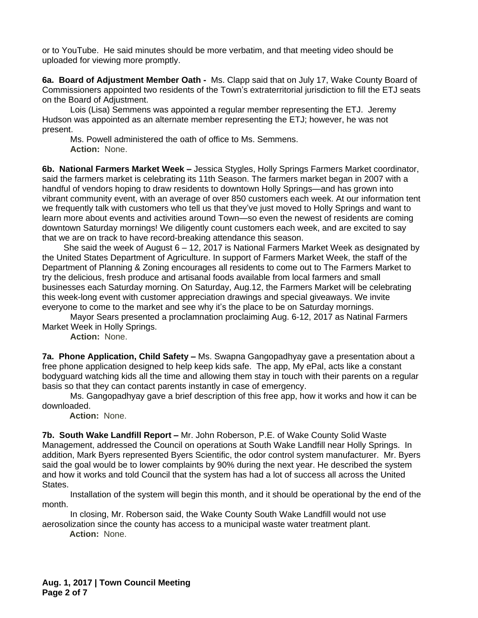or to YouTube. He said minutes should be more verbatim, and that meeting video should be uploaded for viewing more promptly.

**6a. Board of Adjustment Member Oath -** Ms. Clapp said that on July 17, Wake County Board of Commissioners appointed two residents of the Town's extraterritorial jurisdiction to fill the ETJ seats on the Board of Adjustment.

Lois (Lisa) Semmens was appointed a regular member representing the ETJ. Jeremy Hudson was appointed as an alternate member representing the ETJ; however, he was not present.

Ms. Powell administered the oath of office to Ms. Semmens. **Action:** None.

**6b. National Farmers Market Week –** Jessica Stygles, Holly Springs Farmers Market coordinator, said the farmers market is celebrating its 11th Season. The farmers market began in 2007 with a handful of vendors hoping to draw residents to downtown Holly Springs—and has grown into vibrant community event, with an average of over 850 customers each week. At our information tent we frequently talk with customers who tell us that they've just moved to Holly Springs and want to learn more about events and activities around Town—so even the newest of residents are coming downtown Saturday mornings! We diligently count customers each week, and are excited to say that we are on track to have record-breaking attendance this season.

 She said the week of August 6 – 12, 2017 is National Farmers Market Week as designated by the United States Department of Agriculture. In support of Farmers Market Week, the staff of the Department of Planning & Zoning encourages all residents to come out to The Farmers Market to try the delicious, fresh produce and artisanal foods available from local farmers and small businesses each Saturday morning. On Saturday, Aug.12, the Farmers Market will be celebrating this week-long event with customer appreciation drawings and special giveaways. We invite everyone to come to the market and see why it's the place to be on Saturday mornings.

Mayor Sears presented a proclamnation proclaiming Aug. 6-12, 2017 as Natinal Farmers Market Week in Holly Springs.

**Action:** None.

**7a. Phone Application, Child Safety –** Ms. Swapna Gangopadhyay gave a presentation about a free phone application designed to help keep kids safe. The app, My ePal, acts like a constant bodyguard watching kids all the time and allowing them stay in touch with their parents on a regular basis so that they can contact parents instantly in case of emergency.

Ms. Gangopadhyay gave a brief description of this free app, how it works and how it can be downloaded.

**Action:** None.

**7b. South Wake Landfill Report –** Mr. John Roberson, P.E. of Wake County Solid Waste Management, addressed the Council on operations at South Wake Landfill near Holly Springs. In addition, Mark Byers represented Byers Scientific, the odor control system manufacturer. Mr. Byers said the goal would be to lower complaints by 90% during the next year. He described the system and how it works and told Council that the system has had a lot of success all across the United States.

Installation of the system will begin this month, and it should be operational by the end of the month.

In closing, Mr. Roberson said, the Wake County South Wake Landfill would not use aerosolization since the county has access to a municipal waste water treatment plant.

**Action:** None.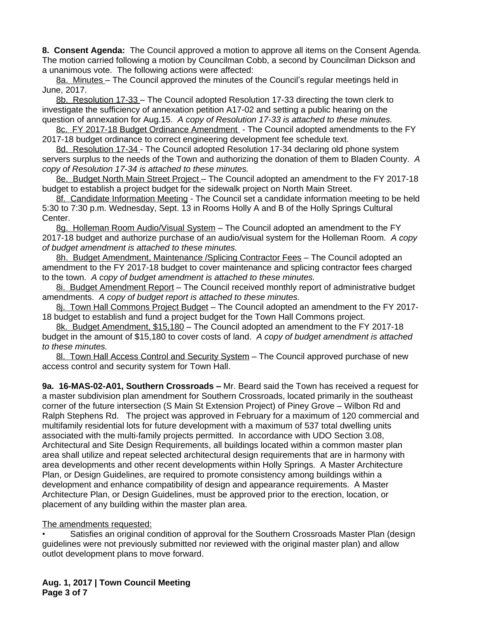**8. Consent Agenda:** The Council approved a motion to approve all items on the Consent Agenda. The motion carried following a motion by Councilman Cobb, a second by Councilman Dickson and a unanimous vote. The following actions were affected:

8a. Minutes – The Council approved the minutes of the Council's regular meetings held in June, 2017.

8b. Resolution 17-33 – The Council adopted Resolution 17-33 directing the town clerk to investigate the sufficiency of annexation petition A17-02 and setting a public hearing on the question of annexation for Aug.15.*A copy of Resolution 17-33 is attached to these minutes.*

8c. FY 2017-18 Budget Ordinance Amendment - The Council adopted amendments to the FY 2017-18 budget ordinance to correct engineering development fee schedule text.

8d. Resolution 17-34 - The Council adopted Resolution 17-34 declaring old phone system servers surplus to the needs of the Town and authorizing the donation of them to Bladen County. *A copy of Resolution 17-34 is attached to these minutes.*

8e. Budget North Main Street Project – The Council adopted an amendment to the FY 2017-18 budget to establish a project budget for the sidewalk project on North Main Street.

8f. Candidate Information Meeting - The Council set a candidate information meeting to be held 5:30 to 7:30 p.m. Wednesday, Sept. 13 in Rooms Holly A and B of the Holly Springs Cultural Center.

8g. Holleman Room Audio/Visual System - The Council adopted an amendment to the FY 2017-18 budget and authorize purchase of an audio/visual system for the Holleman Room.*A copy of budget amendment is attached to these minutes.*

8h. Budget Amendment, Maintenance /Splicing Contractor Fees – The Council adopted an amendment to the FY 2017-18 budget to cover maintenance and splicing contractor fees charged to the town. *A copy of budget amendment is attached to these minutes.*

8i. Budget Amendment Report - The Council received monthly report of administrative budget amendments. *A copy of budget report is attached to these minutes.*

8j. Town Hall Commons Project Budget – The Council adopted an amendment to the FY 2017- 18 budget to establish and fund a project budget for the Town Hall Commons project.

8k. Budget Amendment, \$15,180 – The Council adopted an amendment to the FY 2017-18 budget in the amount of \$15,180 to cover costs of land. *A copy of budget amendment is attached to these minutes.*

8l. Town Hall Access Control and Security System - The Council approved purchase of new access control and security system for Town Hall.

**9a. 16-MAS-02-A01, Southern Crossroads –** Mr. Beard said the Town has received a request for a master subdivision plan amendment for Southern Crossroads, located primarily in the southeast corner of the future intersection (S Main St Extension Project) of Piney Grove – Wilbon Rd and Ralph Stephens Rd. The project was approved in February for a maximum of 120 commercial and multifamily residential lots for future development with a maximum of 537 total dwelling units associated with the multi-family projects permitted. In accordance with UDO Section 3.08, Architectural and Site Design Requirements, all buildings located within a common master plan area shall utilize and repeat selected architectural design requirements that are in harmony with area developments and other recent developments within Holly Springs. A Master Architecture Plan, or Design Guidelines, are required to promote consistency among buildings within a development and enhance compatibility of design and appearance requirements. A Master Architecture Plan, or Design Guidelines, must be approved prior to the erection, location, or placement of any building within the master plan area.

The amendments requested:

• Satisfies an original condition of approval for the Southern Crossroads Master Plan (design guidelines were not previously submitted nor reviewed with the original master plan) and allow outlot development plans to move forward.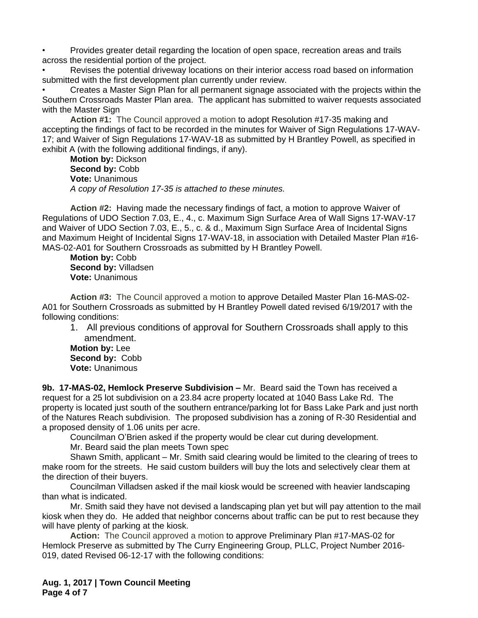• Provides greater detail regarding the location of open space, recreation areas and trails across the residential portion of the project.

• Revises the potential driveway locations on their interior access road based on information submitted with the first development plan currently under review.

• Creates a Master Sign Plan for all permanent signage associated with the projects within the Southern Crossroads Master Plan area. The applicant has submitted to waiver requests associated with the Master Sign

**Action #1:** The Council approved a motion to adopt Resolution #17-35 making and accepting the findings of fact to be recorded in the minutes for Waiver of Sign Regulations 17-WAV-17; and Waiver of Sign Regulations 17-WAV-18 as submitted by H Brantley Powell, as specified in exhibit A (with the following additional findings, if any).

**Motion by:** Dickson Second by: Cobb **Vote:** Unanimous *A copy of Resolution 17-35 is attached to these minutes.*

**Action #2:** Having made the necessary findings of fact, a motion to approve Waiver of Regulations of UDO Section 7.03, E., 4., c. Maximum Sign Surface Area of Wall Signs 17-WAV-17 and Waiver of UDO Section 7.03, E., 5., c. & d., Maximum Sign Surface Area of Incidental Signs and Maximum Height of Incidental Signs 17-WAV-18, in association with Detailed Master Plan #16- MAS-02-A01 for Southern Crossroads as submitted by H Brantley Powell.

**Motion by:** Cobb **Second by:** Villadsen **Vote:** Unanimous

**Action #3:** The Council approved a motion to approve Detailed Master Plan 16-MAS-02- A01 for Southern Crossroads as submitted by H Brantley Powell dated revised 6/19/2017 with the following conditions:

1. All previous conditions of approval for Southern Crossroads shall apply to this amendment.

**Motion by:** Lee **Second by:** Cobb **Vote:** Unanimous

**9b. 17-MAS-02, Hemlock Preserve Subdivision –** Mr. Beard said the Town has received a request for a 25 lot subdivision on a 23.84 acre property located at 1040 Bass Lake Rd. The property is located just south of the southern entrance/parking lot for Bass Lake Park and just north of the Natures Reach subdivision. The proposed subdivision has a zoning of R-30 Residential and a proposed density of 1.06 units per acre.

Councilman O'Brien asked if the property would be clear cut during development. Mr. Beard said the plan meets Town spec

Shawn Smith, applicant – Mr. Smith said clearing would be limited to the clearing of trees to make room for the streets. He said custom builders will buy the lots and selectively clear them at the direction of their buyers.

Councilman Villadsen asked if the mail kiosk would be screened with heavier landscaping than what is indicated.

Mr. Smith said they have not devised a landscaping plan yet but will pay attention to the mail kiosk when they do. He added that neighbor concerns about traffic can be put to rest because they will have plenty of parking at the kiosk.

**Action:** The Council approved a motion to approve Preliminary Plan #17-MAS-02 for Hemlock Preserve as submitted by The Curry Engineering Group, PLLC, Project Number 2016- 019, dated Revised 06-12-17 with the following conditions:

**Aug. 1, 2017 | Town Council Meeting Page 4 of 7**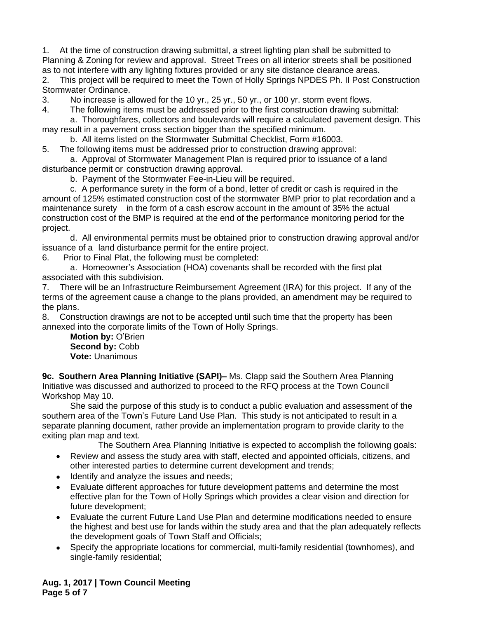1. At the time of construction drawing submittal, a street lighting plan shall be submitted to Planning & Zoning for review and approval. Street Trees on all interior streets shall be positioned as to not interfere with any lighting fixtures provided or any site distance clearance areas.

2. This project will be required to meet the Town of Holly Springs NPDES Ph. II Post Construction Stormwater Ordinance.

3. No increase is allowed for the 10 yr., 25 yr., 50 yr., or 100 yr. storm event flows.

4. The following items must be addressed prior to the first construction drawing submittal:

a. Thoroughfares, collectors and boulevards will require a calculated pavement design. This may result in a pavement cross section bigger than the specified minimum.

b. All items listed on the Stormwater Submittal Checklist, Form #16003.

5. The following items must be addressed prior to construction drawing approval:

a. Approval of Stormwater Management Plan is required prior to issuance of a land disturbance permit or construction drawing approval.

b. Payment of the Stormwater Fee-in-Lieu will be required.

c. A performance surety in the form of a bond, letter of credit or cash is required in the amount of 125% estimated construction cost of the stormwater BMP prior to plat recordation and a maintenance surety in the form of a cash escrow account in the amount of 35% the actual construction cost of the BMP is required at the end of the performance monitoring period for the project.

d. All environmental permits must be obtained prior to construction drawing approval and/or issuance of a land disturbance permit for the entire project.

6. Prior to Final Plat, the following must be completed:

a. Homeowner's Association (HOA) covenants shall be recorded with the first plat associated with this subdivision.

7. There will be an Infrastructure Reimbursement Agreement (IRA) for this project. If any of the terms of the agreement cause a change to the plans provided, an amendment may be required to the plans.

8. Construction drawings are not to be accepted until such time that the property has been annexed into the corporate limits of the Town of Holly Springs.

**Motion by:** O'Brien **Second by:** Cobb **Vote:** Unanimous

**9c. Southern Area Planning Initiative (SAPI)–** Ms. Clapp said the Southern Area Planning Initiative was discussed and authorized to proceed to the RFQ process at the Town Council Workshop May 10.

She said the purpose of this study is to conduct a public evaluation and assessment of the southern area of the Town's Future Land Use Plan. This study is not anticipated to result in a separate planning document, rather provide an implementation program to provide clarity to the exiting plan map and text.

The Southern Area Planning Initiative is expected to accomplish the following goals:

- Review and assess the study area with staff, elected and appointed officials, citizens, and other interested parties to determine current development and trends;
- Identify and analyze the issues and needs;
- Evaluate different approaches for future development patterns and determine the most effective plan for the Town of Holly Springs which provides a clear vision and direction for future development;
- Evaluate the current Future Land Use Plan and determine modifications needed to ensure the highest and best use for lands within the study area and that the plan adequately reflects the development goals of Town Staff and Officials;
- Specify the appropriate locations for commercial, multi-family residential (townhomes), and single-family residential;

**Aug. 1, 2017 | Town Council Meeting Page 5 of 7**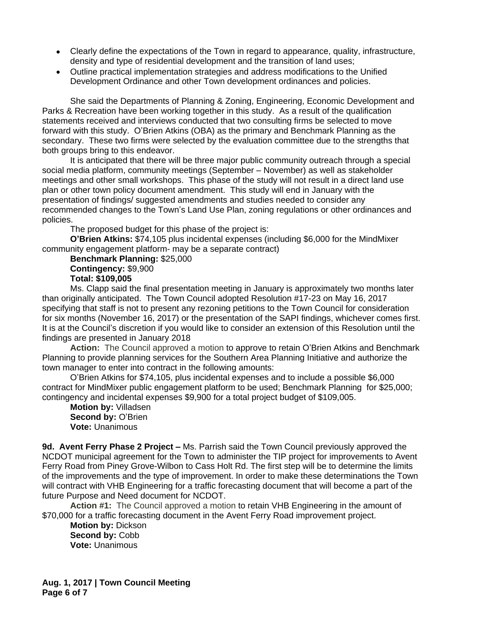- Clearly define the expectations of the Town in regard to appearance, quality, infrastructure, density and type of residential development and the transition of land uses;
- Outline practical implementation strategies and address modifications to the Unified Development Ordinance and other Town development ordinances and policies.

She said the Departments of Planning & Zoning, Engineering, Economic Development and Parks & Recreation have been working together in this study. As a result of the qualification statements received and interviews conducted that two consulting firms be selected to move forward with this study. O'Brien Atkins (OBA) as the primary and Benchmark Planning as the secondary. These two firms were selected by the evaluation committee due to the strengths that both groups bring to this endeavor.

It is anticipated that there will be three major public community outreach through a special social media platform, community meetings (September – November) as well as stakeholder meetings and other small workshops. This phase of the study will not result in a direct land use plan or other town policy document amendment. This study will end in January with the presentation of findings/ suggested amendments and studies needed to consider any recommended changes to the Town's Land Use Plan, zoning regulations or other ordinances and policies.

The proposed budget for this phase of the project is:

**O'Brien Atkins:** \$74,105 plus incidental expenses (including \$6,000 for the MindMixer community engagement platform- may be a separate contract)

**Benchmark Planning:** \$25,000 **Contingency:** \$9,900 **Total: \$109,005**

Ms. Clapp said the final presentation meeting in January is approximately two months later than originally anticipated. The Town Council adopted Resolution #17-23 on May 16, 2017 specifying that staff is not to present any rezoning petitions to the Town Council for consideration for six months (November 16, 2017) or the presentation of the SAPI findings, whichever comes first. It is at the Council's discretion if you would like to consider an extension of this Resolution until the findings are presented in January 2018

**Action:** The Council approved a motion to approve to retain O'Brien Atkins and Benchmark Planning to provide planning services for the Southern Area Planning Initiative and authorize the town manager to enter into contract in the following amounts:

O'Brien Atkins for \$74,105, plus incidental expenses and to include a possible \$6,000 contract for MindMixer public engagement platform to be used; Benchmark Planning for \$25,000; contingency and incidental expenses \$9,900 for a total project budget of \$109,005.

**Motion by:** Villadsen **Second by: O'Brien Vote:** Unanimous

**9d. Avent Ferry Phase 2 Project –** Ms. Parrish said the Town Council previously approved the NCDOT municipal agreement for the Town to administer the TIP project for improvements to Avent Ferry Road from Piney Grove-Wilbon to Cass Holt Rd. The first step will be to determine the limits of the improvements and the type of improvement. In order to make these determinations the Town will contract with VHB Engineering for a traffic forecasting document that will become a part of the future Purpose and Need document for NCDOT.

**Action #1:** The Council approved a motion to retain VHB Engineering in the amount of \$70,000 for a traffic forecasting document in the Avent Ferry Road improvement project.

**Motion by:** Dickson **Second by:** Cobb **Vote:** Unanimous

**Aug. 1, 2017 | Town Council Meeting Page 6 of 7**